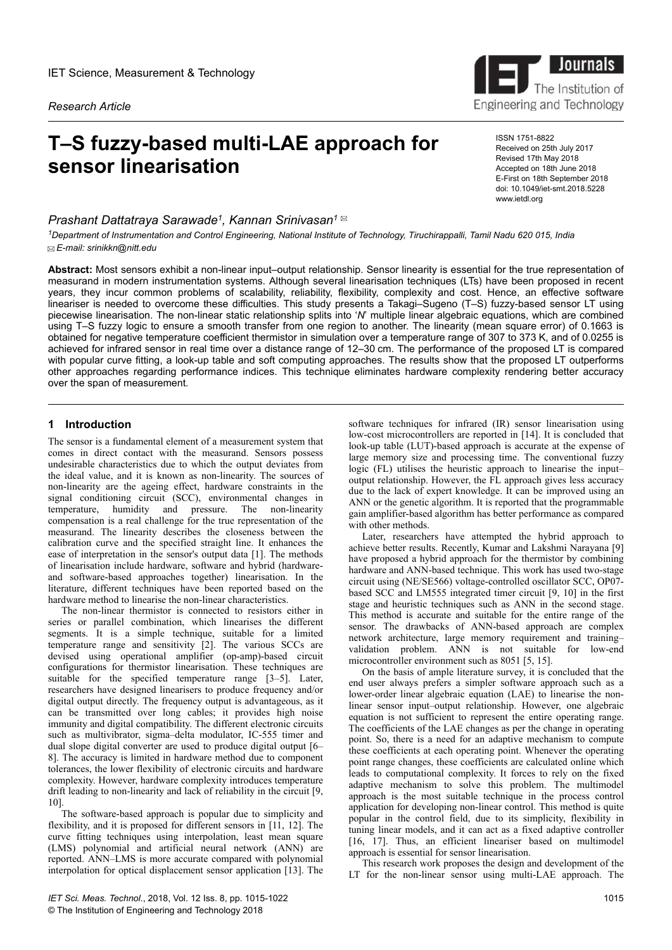*Research Article*

# **T–S fuzzy-based multi-LAE approach for sensor linearisation**

## *Prashant Dattatraya Sarawade<sup>1</sup> , Kannan Srinivasan<sup>1</sup>*

*<sup>1</sup>Department of Instrumentation and Control Engineering, National Institute of Technology, Tiruchirappalli, Tamil Nadu 620 015, India E-mail: srinikkn@nitt.edu*

**Abstract:** Most sensors exhibit a non-linear input–output relationship. Sensor linearity is essential for the true representation of measurand in modern instrumentation systems. Although several linearisation techniques (LTs) have been proposed in recent years, they incur common problems of scalability, reliability, flexibility, complexity and cost. Hence, an effective software lineariser is needed to overcome these difficulties. This study presents a Takagi–Sugeno (T–S) fuzzy-based sensor LT using piecewise linearisation. The non-linear static relationship splits into '*N*' multiple linear algebraic equations, which are combined using T–S fuzzy logic to ensure a smooth transfer from one region to another. The linearity (mean square error) of 0.1663 is obtained for negative temperature coefficient thermistor in simulation over a temperature range of 307 to 373 K, and of 0.0255 is achieved for infrared sensor in real time over a distance range of 12–30 cm. The performance of the proposed LT is compared with popular curve fitting, a look-up table and soft computing approaches. The results show that the proposed LT outperforms other approaches regarding performance indices. This technique eliminates hardware complexity rendering better accuracy over the span of measurement.

## **1** Introduction

The sensor is a fundamental element of a measurement system that comes in direct contact with the measurand. Sensors possess undesirable characteristics due to which the output deviates from the ideal value, and it is known as non-linearity. The sources of non-linearity are the ageing effect, hardware constraints in the signal conditioning circuit (SCC), environmental changes in temperature, humidity and pressure. The non-linearity compensation is a real challenge for the true representation of the measurand. The linearity describes the closeness between the calibration curve and the specified straight line. It enhances the ease of interpretation in the sensor's output data [1]. The methods of linearisation include hardware, software and hybrid (hardwareand software-based approaches together) linearisation. In the literature, different techniques have been reported based on the hardware method to linearise the non-linear characteristics.

The non-linear thermistor is connected to resistors either in series or parallel combination, which linearises the different segments. It is a simple technique, suitable for a limited temperature range and sensitivity [2]. The various SCCs are devised using operational amplifier (op-amp)-based circuit configurations for thermistor linearisation. These techniques are suitable for the specified temperature range [3–5]. Later, researchers have designed linearisers to produce frequency and/or digital output directly. The frequency output is advantageous, as it can be transmitted over long cables; it provides high noise immunity and digital compatibility. The different electronic circuits such as multivibrator, sigma–delta modulator, IC-555 timer and dual slope digital converter are used to produce digital output [6– 8]. The accuracy is limited in hardware method due to component tolerances, the lower flexibility of electronic circuits and hardware complexity. However, hardware complexity introduces temperature drift leading to non-linearity and lack of reliability in the circuit [9, 10].

The software-based approach is popular due to simplicity and flexibility, and it is proposed for different sensors in [11, 12]. The curve fitting techniques using interpolation, least mean square (LMS) polynomial and artificial neural network (ANN) are reported. ANN–LMS is more accurate compared with polynomial interpolation for optical displacement sensor application [13]. The

software techniques for infrared (IR) sensor linearisation using low-cost microcontrollers are reported in [14]. It is concluded that look-up table (LUT)-based approach is accurate at the expense of large memory size and processing time. The conventional fuzzy logic (FL) utilises the heuristic approach to linearise the input– output relationship. However, the FL approach gives less accuracy due to the lack of expert knowledge. It can be improved using an ANN or the genetic algorithm. It is reported that the programmable gain amplifier-based algorithm has better performance as compared with other methods.

Later, researchers have attempted the hybrid approach to achieve better results. Recently, Kumar and Lakshmi Narayana [9] have proposed a hybrid approach for the thermistor by combining hardware and ANN-based technique. This work has used two-stage circuit using (NE/SE566) voltage-controlled oscillator SCC, OP07 based SCC and LM555 integrated timer circuit [9, 10] in the first stage and heuristic techniques such as ANN in the second stage. This method is accurate and suitable for the entire range of the sensor. The drawbacks of ANN-based approach are complex network architecture, large memory requirement and training– validation problem. ANN is not suitable for low-end microcontroller environment such as 8051 [5, 15].

On the basis of ample literature survey, it is concluded that the end user always prefers a simpler software approach such as a lower-order linear algebraic equation (LAE) to linearise the nonlinear sensor input–output relationship. However, one algebraic equation is not sufficient to represent the entire operating range. The coefficients of the LAE changes as per the change in operating point. So, there is a need for an adaptive mechanism to compute these coefficients at each operating point. Whenever the operating point range changes, these coefficients are calculated online which leads to computational complexity. It forces to rely on the fixed adaptive mechanism to solve this problem. The multimodel approach is the most suitable technique in the process control application for developing non-linear control. This method is quite popular in the control field, due to its simplicity, flexibility in tuning linear models, and it can act as a fixed adaptive controller [16, 17]. Thus, an efficient lineariser based on multimodel approach is essential for sensor linearisation.

This research work proposes the design and development of the LT for the non-linear sensor using multi-LAE approach. The



ISSN 1751-8822 Received on 25th July 2017 Revised 17th May 2018 Accepted on 18th June 2018 E-First on 18th September 2018 doi: 10.1049/iet-smt.2018.5228 www.ietdl.org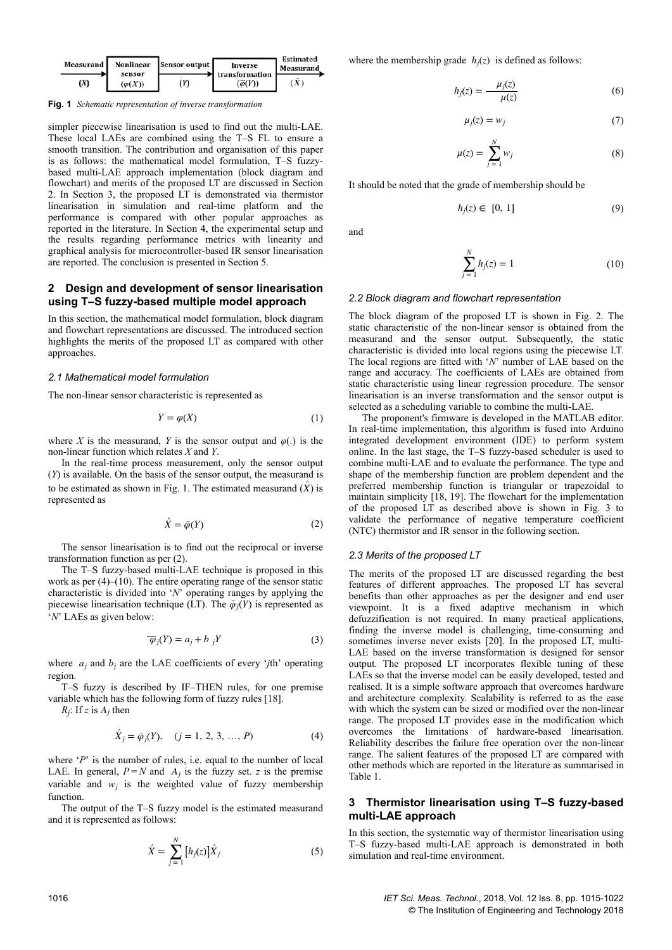

**Fig. 1** *Schematic representation of inverse transformation*

simpler piecewise linearisation is used to find out the multi-LAE. These local LAEs are combined using the T–S FL to ensure a smooth transition. The contribution and organisation of this paper is as follows: the mathematical model formulation, T–S fuzzybased multi-LAE approach implementation (block diagram and flowchart) and merits of the proposed LT are discussed in Section 2. In Section 3, the proposed LT is demonstrated via thermistor linearisation in simulation and real-time platform and the performance is compared with other popular approaches as reported in the literature. In Section 4, the experimental setup and the results regarding performance metrics with linearity and graphical analysis for microcontroller-based IR sensor linearisation are reported. The conclusion is presented in Section 5.

## **2Design and development of sensor linearisation using T–S fuzzy-based multiple model approach**

In this section, the mathematical model formulation, block diagram and flowchart representations are discussed. The introduced section highlights the merits of the proposed LT as compared with other approaches.

## *2.1 Mathematical model formulation*

The non-linear sensor characteristic is represented as

$$
Y = \varphi(X) \tag{1}
$$

where *X* is the measurand, *Y* is the sensor output and  $\varphi$ (.) is the non-linear function which relates *X* and *Y*.

In the real-time process measurement, only the sensor output (*Y*) is available. On the basis of the sensor output, the measurand is to be estimated as shown in Fig. 1. The estimated measurand  $(\hat{X})$  is represented as

$$
\hat{X} = \bar{\varphi}(Y) \tag{2}
$$

The sensor linearisation is to find out the reciprocal or inverse transformation function as per (2).

The T–S fuzzy-based multi-LAE technique is proposed in this work as per (4)–(10). The entire operating range of the sensor static characteristic is divided into '*N*' operating ranges by applying the piecewise linearisation technique (LT). The  $\bar{\varphi}_j(Y)$  is represented as '*N*' LAEs as given below:

$$
\overline{\varphi}_j(Y) = a_j + b_j Y \tag{3}
$$

where  $a_j$  and  $b_j$  are the LAE coefficients of every '*j*th' operating region.

T–S fuzzy is described by IF–THEN rules, for one premise variable which has the following form of fuzzy rules [18].

 $R_j$ : If *z* is  $A_j$  then

$$
\hat{X}_j = \bar{\varphi}_j(Y), \quad (j = 1, 2, 3, ..., P)
$$
 (4)

where '*P*' is the number of rules, i.e. equal to the number of local LAE. In general,  $P = N$  and  $A_j$  is the fuzzy set. *z* is the premise variable and  $w_j$  is the weighted value of fuzzy membership function.

The output of the T–S fuzzy model is the estimated measurand and it is represented as follows:

$$
\hat{X} = \sum_{j=1}^{N} \left[ h_j(z) \right] \hat{X}_j \tag{5}
$$

where the membership grade  $h_j(z)$  is defined as follows:

$$
h_j(z) = \frac{\mu_j(z)}{\mu(z)}\tag{6}
$$

$$
\mu_j(z) = w_j \tag{7}
$$

$$
\mu(z) = \sum_{j=1}^{N} w_j \tag{8}
$$

It should be noted that the grade of membership should be

$$
h_j(z) \in [0, 1] \tag{9}
$$

and

$$
\sum_{j=1}^{N} h_j(z) = 1
$$
 (10)

#### *2.2 Block diagram and flowchart representation*

The block diagram of the proposed LT is shown in Fig. 2. The static characteristic of the non-linear sensor is obtained from the measurand and the sensor output. Subsequently, the static characteristic is divided into local regions using the piecewise LT. The local regions are fitted with '*N*' number of LAE based on the range and accuracy. The coefficients of LAEs are obtained from static characteristic using linear regression procedure. The sensor linearisation is an inverse transformation and the sensor output is selected as a scheduling variable to combine the multi-LAE.

The proponent's firmware is developed in the MATLAB editor. In real-time implementation, this algorithm is fused into Arduino integrated development environment (IDE) to perform system online. In the last stage, the T–S fuzzy-based scheduler is used to combine multi-LAE and to evaluate the performance. The type and shape of the membership function are problem dependent and the preferred membership function is triangular or trapezoidal to maintain simplicity [18, 19]. The flowchart for the implementation of the proposed LT as described above is shown in Fig. 3 to validate the performance of negative temperature coefficient (NTC) thermistor and IR sensor in the following section.

#### *2.3 Merits of the proposed LT*

The merits of the proposed LT are discussed regarding the best features of different approaches. The proposed LT has several benefits than other approaches as per the designer and end user viewpoint. It is a fixed adaptive mechanism in which defuzzification is not required. In many practical applications, finding the inverse model is challenging, time-consuming and sometimes inverse never exists [20]. In the proposed LT, multi-LAE based on the inverse transformation is designed for sensor output. The proposed LT incorporates flexible tuning of these LAEs so that the inverse model can be easily developed, tested and realised. It is a simple software approach that overcomes hardware and architecture complexity. Scalability is referred to as the ease with which the system can be sized or modified over the non-linear range. The proposed LT provides ease in the modification which overcomes the limitations of hardware-based linearisation. Reliability describes the failure free operation over the non-linear range. The salient features of the proposed LT are compared with other methods which are reported in the literature as summarised in Table 1.

## **3Thermistor linearisation using T–S fuzzy-based multi-LAE approach**

In this section, the systematic way of thermistor linearisation using T–S fuzzy-based multi-LAE approach is demonstrated in both simulation and real-time environment.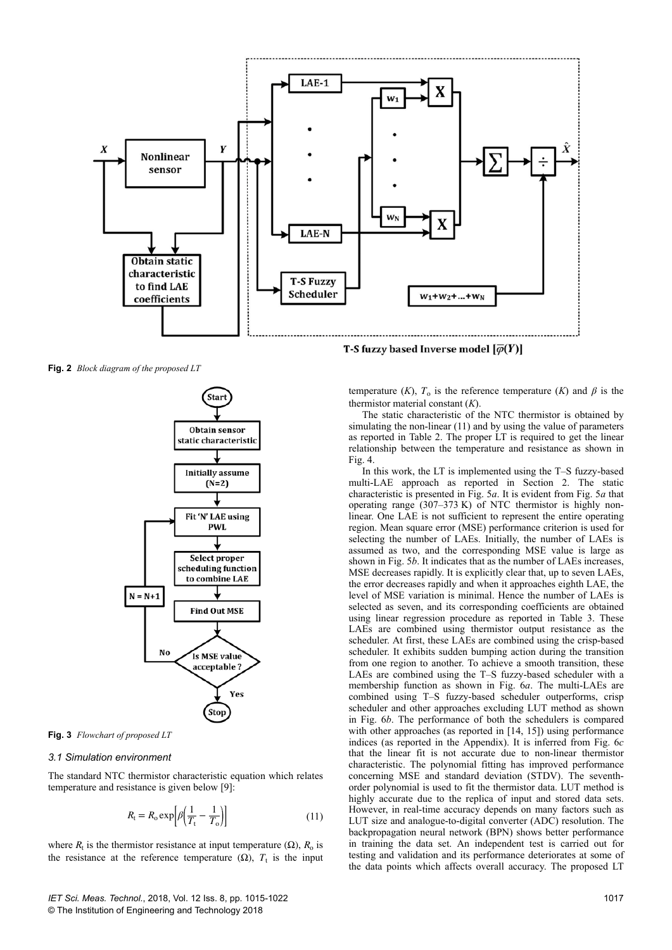

**Fig. 2** *Block diagram of the proposed LT*



**Fig. 3** *Flowchart of proposed LT*

## *3.1 Simulation environment*

The standard NTC thermistor characteristic equation which relates temperature and resistance is given below [9]:

$$
R_{\rm t} = R_{\rm o} \exp\left[\beta \left(\frac{1}{T_{\rm t}} - \frac{1}{T_{\rm o}}\right)\right]
$$
 (11)

where  $R_t$  is the thermistor resistance at input temperature ( $\Omega$ ),  $R_o$  is the resistance at the reference temperature  $(\Omega)$ ,  $T_t$  is the input

T-S fuzzy based Inverse model  $\lbrack \bar{\varphi}(Y) \rbrack$ 

temperature (*K*),  $T_0$  is the reference temperature (*K*) and  $\beta$  is the thermistor material constant (*K*).

The static characteristic of the NTC thermistor is obtained by simulating the non-linear (11) and by using the value of parameters as reported in Table 2. The proper LT is required to get the linear relationship between the temperature and resistance as shown in Fig. 4.

In this work, the LT is implemented using the T–S fuzzy-based multi-LAE approach as reported in Section 2. The static characteristic is presented in Fig. 5*a*. It is evident from Fig. 5*a* that operating range (307–373 K) of NTC thermistor is highly nonlinear. One LAE is not sufficient to represent the entire operating region. Mean square error (MSE) performance criterion is used for selecting the number of LAEs. Initially, the number of LAEs is assumed as two, and the corresponding MSE value is large as shown in Fig. 5*b*. It indicates that as the number of LAEs increases, MSE decreases rapidly. It is explicitly clear that, up to seven LAEs, the error decreases rapidly and when it approaches eighth LAE, the level of MSE variation is minimal. Hence the number of LAEs is selected as seven, and its corresponding coefficients are obtained using linear regression procedure as reported in Table 3. These LAEs are combined using thermistor output resistance as the scheduler. At first, these LAEs are combined using the crisp-based scheduler. It exhibits sudden bumping action during the transition from one region to another. To achieve a smooth transition, these LAEs are combined using the T–S fuzzy-based scheduler with a membership function as shown in Fig. 6*a*. The multi-LAEs are combined using T–S fuzzy-based scheduler outperforms, crisp scheduler and other approaches excluding LUT method as shown in Fig. 6*b*. The performance of both the schedulers is compared with other approaches (as reported in [14, 15]) using performance indices (as reported in the Appendix). It is inferred from Fig. 6*c* that the linear fit is not accurate due to non-linear thermistor characteristic. The polynomial fitting has improved performance concerning MSE and standard deviation (STDV). The seventhorder polynomial is used to fit the thermistor data. LUT method is highly accurate due to the replica of input and stored data sets. However, in real-time accuracy depends on many factors such as LUT size and analogue-to-digital converter (ADC) resolution. The backpropagation neural network (BPN) shows better performance in training the data set. An independent test is carried out for testing and validation and its performance deteriorates at some of the data points which affects overall accuracy. The proposed LT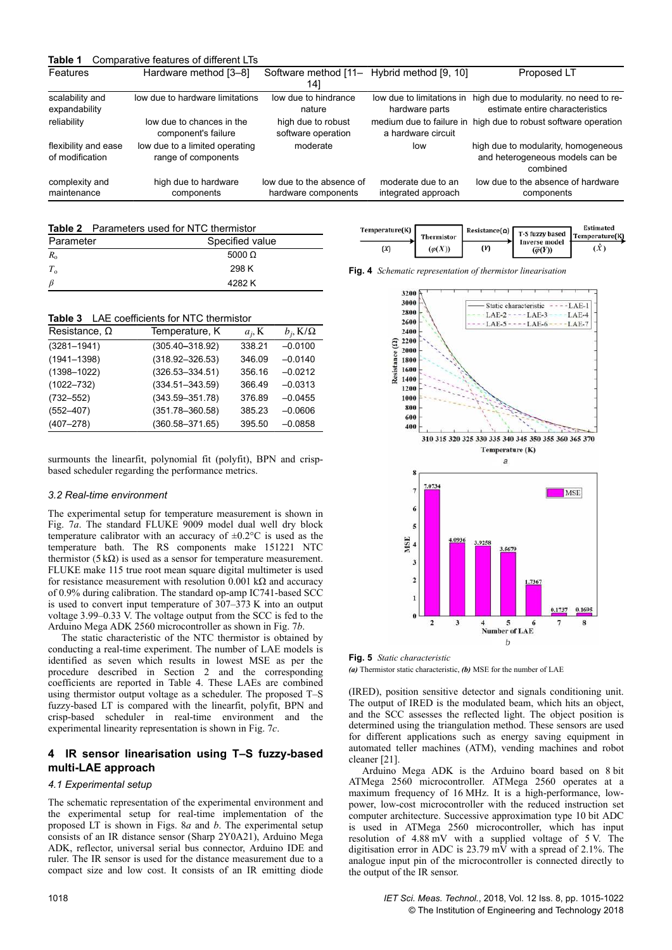| Table 1                                 | Comparative features of different LTs                 |                                                  |                                             |                                                                                    |
|-----------------------------------------|-------------------------------------------------------|--------------------------------------------------|---------------------------------------------|------------------------------------------------------------------------------------|
| <b>Features</b>                         | Hardware method [3-8]                                 | Software method [11-<br>141                      | Hybrid method [9, 10]                       | Proposed LT                                                                        |
| scalability and<br>expandability        | low due to hardware limitations                       | low due to hindrance<br>nature                   | low due to limitations in<br>hardware parts | high due to modularity, no need to re-<br>estimate entire characteristics          |
| reliability                             | low due to chances in the<br>component's failure      | high due to robust<br>software operation         | a hardware circuit                          | medium due to failure in high due to robust software operation                     |
| flexibility and ease<br>of modification | low due to a limited operating<br>range of components | moderate                                         | low                                         | high due to modularity, homogeneous<br>and heterogeneous models can be<br>combined |
| complexity and<br>maintenance           | high due to hardware<br>components                    | low due to the absence of<br>hardware components | moderate due to an<br>integrated approach   | low due to the absence of hardware<br>components                                   |
|                                         |                                                       |                                                  |                                             |                                                                                    |

|--|

| Specified value<br>Parameter |               |  |
|------------------------------|---------------|--|
| $R_{\alpha}$                 | 5000 $\Omega$ |  |
| $T_{\alpha}$                 | 298 K         |  |
| - 13                         | 4282K         |  |

| Resistance, $\Omega$ | Temperature, K      | $a_i, K$ | $b_i$ , K/ $\Omega$ |
|----------------------|---------------------|----------|---------------------|
| $(3281 - 1941)$      | $(305.40 - 318.92)$ | 338.21   | $-0.0100$           |
| $(1941 - 1398)$      | $(318.92 - 326.53)$ | 346.09   | $-0.0140$           |
| $(1398 - 1022)$      | $(326.53 - 334.51)$ | 356.16   | $-0.0212$           |
| $(1022 - 732)$       | $(334.51 - 343.59)$ | 366.49   | $-0.0313$           |
| $(732 - 552)$        | $(343.59 - 351.78)$ | 376.89   | $-0.0455$           |
| $(552 - 407)$        | $(351.78 - 360.58)$ | 385.23   | $-0.0606$           |
| $(407 - 278)$        | $(360.58 - 371.65)$ | 395.50   | $-0.0858$           |

surmounts the linearfit, polynomial fit (polyfit), BPN and crispbased scheduler regarding the performance metrics.

#### *3.2 Real-time environment*

The experimental setup for temperature measurement is shown in Fig. 7*a*. The standard FLUKE 9009 model dual well dry block temperature calibrator with an accuracy of ±0.2°C is used as the temperature bath. The RS components make 151221 NTC thermistor (5 kΩ) is used as a sensor for temperature measurement. FLUKE make 115 true root mean square digital multimeter is used for resistance measurement with resolution 0.001 k $\Omega$  and accuracy of 0.9% during calibration. The standard op-amp IC741-based SCC is used to convert input temperature of 307–373 K into an output voltage 3.99–0.33 V. The voltage output from the SCC is fed to the Arduino Mega ADK 2560 microcontroller as shown in Fig. 7*b*.

The static characteristic of the NTC thermistor is obtained by conducting a real-time experiment. The number of LAE models is identified as seven which results in lowest MSE as per the procedure described in Section 2 and the corresponding coefficients are reported in Table 4. These LAEs are combined using thermistor output voltage as a scheduler. The proposed T–S fuzzy-based LT is compared with the linearfit, polyfit, BPN and crisp-based scheduler in real-time environment and the experimental linearity representation is shown in Fig. 7*c*.

## **4IR sensor linearisation using T–S fuzzy-based multi-LAE approach**

#### *4.1 Experimental setup*

The schematic representation of the experimental environment and the experimental setup for real-time implementation of the proposed LT is shown in Figs. 8*a* and *b*. The experimental setup consists of an IR distance sensor (Sharp 2Y0A21), Arduino Mega ADK, reflector, universal serial bus connector, Arduino IDE and ruler. The IR sensor is used for the distance measurement due to a compact size and low cost. It consists of an IR emitting diode

| Temperature(K) | <b>Thermistor</b> |     | Resistance( $\Omega$ )   T-S fuzzy based   Temperature(K) | Estimated   |
|----------------|-------------------|-----|-----------------------------------------------------------|-------------|
| œη             | $(\varphi(X))$    | (Y) | <b>Inverse model</b><br>$(\overline{\varphi}(Y))$         | $\cdot^{X}$ |





**Fig. 5** *Static characteristic*

*(a)* Thermistor static characteristic, *(b)* MSE for the number of LAE

(IRED), position sensitive detector and signals conditioning unit. The output of IRED is the modulated beam, which hits an object, and the SCC assesses the reflected light. The object position is determined using the triangulation method. These sensors are used for different applications such as energy saving equipment in automated teller machines (ATM), vending machines and robot cleaner [21].

Arduino Mega ADK is the Arduino board based on 8 bit ATMega 2560 microcontroller. ATMega 2560 operates at a maximum frequency of 16 MHz. It is a high-performance, lowpower, low-cost microcontroller with the reduced instruction set computer architecture. Successive approximation type 10 bit ADC is used in ATMega 2560 microcontroller, which has input resolution of 4.88 mV with a supplied voltage of 5 V. The digitisation error in ADC is 23.79 mV with a spread of 2.1%. The analogue input pin of the microcontroller is connected directly to the output of the IR sensor.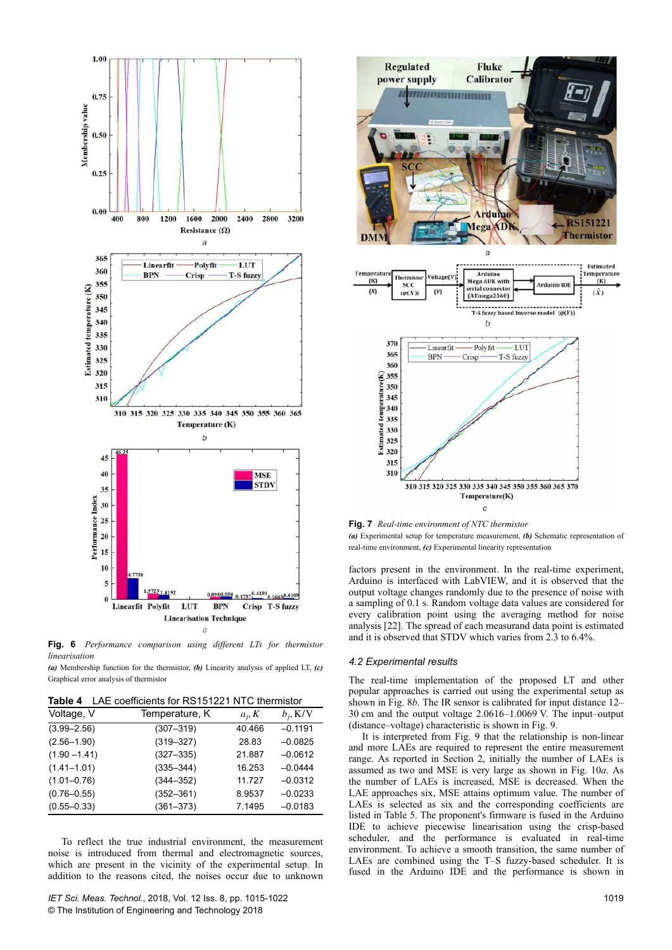

**Fig. 6** *Performance comparison using different LTs for thermistor linearisation*

*(a)* Membership function for the thermistor, *(b)* Linearity analysis of applied LT, *(c)* Graphical error analysis of thermistor

**Table 4** LAE coefficients for RS151221 NTC thermistor

| Table 4<br>LAC COUNCILISTO IN 191221 NTC MUNICIO |                |          |             |  |  |
|--------------------------------------------------|----------------|----------|-------------|--|--|
| Voltage, V                                       | Temperature, K | $a_i, K$ | $b_i$ , K/V |  |  |
| $(3.99 - 2.56)$                                  | $(307 - 319)$  | 40.466   | $-0.1191$   |  |  |
| $(2.56 - 1.90)$                                  | $(319 - 327)$  | 28.83    | $-0.0825$   |  |  |
| $(1.90 - 1.41)$                                  | $(327 - 335)$  | 21.887   | $-0.0612$   |  |  |
| $(1.41 - 1.01)$                                  | $(335 - 344)$  | 16.253   | $-0.0444$   |  |  |
| $(1.01 - 0.76)$                                  | $(344 - 352)$  | 11.727   | $-0.0312$   |  |  |
| $(0.76 - 0.55)$                                  | $(352 - 361)$  | 8.9537   | $-0.0233$   |  |  |
| $(0.55 - 0.33)$                                  | $(361 - 373)$  | 7.1495   | $-0.0183$   |  |  |

To reflect the true industrial environment, the measurement noise is introduced from thermal and electromagnetic sources, which are present in the vicinity of the experimental setup. In addition to the reasons cited, the noises occur due to unknown



**Fig. 7** *Real-time environment of NTC thermistor (a)* Experimental setup for temperature measurement, *(b)* Schematic representation of real-time environment, *(c)* Experimental linearity representation

factors present in the environment. In the real-time experiment, Arduino is interfaced with LabVIEW, and it is observed that the output voltage changes randomly due to the presence of noise with a sampling of 0.1 s. Random voltage data values are considered for every calibration point using the averaging method for noise analysis [22]. The spread of each measurand data point is estimated and it is observed that STDV which varies from 2.3 to 6.4%.

#### *4.2 Experimental results*

The real-time implementation of the proposed LT and other popular approaches is carried out using the experimental setup as shown in Fig. 8*b*. The IR sensor is calibrated for input distance 12– 30 cm and the output voltage 2.0616–1.0069 V. The input–output (distance–voltage) characteristic is shown in Fig. 9.

It is interpreted from Fig. 9 that the relationship is non-linear and more LAEs are required to represent the entire measurement range. As reported in Section 2, initially the number of LAEs is assumed as two and MSE is very large as shown in Fig. 10*a*. As the number of LAEs is increased, MSE is decreased. When the LAE approaches six, MSE attains optimum value. The number of LAEs is selected as six and the corresponding coefficients are listed in Table 5. The proponent's firmware is fused in the Arduino IDE to achieve piecewise linearisation using the crisp-based scheduler, and the performance is evaluated in real-time environment. To achieve a smooth transition, the same number of LAEs are combined using the T–S fuzzy-based scheduler. It is fused in the Arduino IDE and the performance is shown in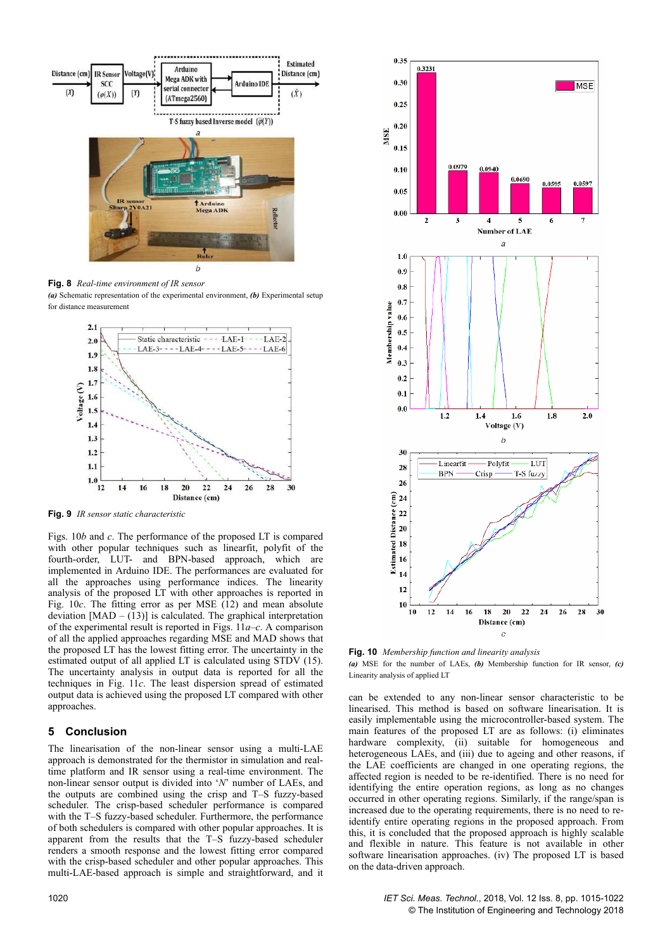

**Fig. 8** *Real-time environment of IR sensor (a)* Schematic representation of the experimental environment, *(b)* Experimental setup for distance measurement



**Fig. 9** *IR sensor static characteristic*

Figs. 10*b* and *c*. The performance of the proposed LT is compared with other popular techniques such as linearfit, polyfit of the fourth-order, LUT- and BPN-based approach, which are implemented in Arduino IDE. The performances are evaluated for all the approaches using performance indices. The linearity analysis of the proposed LT with other approaches is reported in Fig. 10*c*. The fitting error as per MSE (12) and mean absolute deviation  $[MAD - (13)]$  is calculated. The graphical interpretation of the experimental result is reported in Figs. 11*a*–*c*. A comparison of all the applied approaches regarding MSE and MAD shows that the proposed LT has the lowest fitting error. The uncertainty in the estimated output of all applied LT is calculated using STDV (15). The uncertainty analysis in output data is reported for all the techniques in Fig. 11*c*. The least dispersion spread of estimated output data is achieved using the proposed LT compared with other approaches.

#### **5Conclusion**

The linearisation of the non-linear sensor using a multi-LAE approach is demonstrated for the thermistor in simulation and realtime platform and IR sensor using a real-time environment. The non-linear sensor output is divided into '*N*' number of LAEs, and the outputs are combined using the crisp and T–S fuzzy-based scheduler. The crisp-based scheduler performance is compared with the T–S fuzzy-based scheduler. Furthermore, the performance of both schedulers is compared with other popular approaches. It is apparent from the results that the T–S fuzzy-based scheduler renders a smooth response and the lowest fitting error compared with the crisp-based scheduler and other popular approaches. This multi-LAE-based approach is simple and straightforward, and it



**Fig. 10** *Membership function and linearity analysis (a)* MSE for the number of LAEs, *(b)* Membership function for IR sensor, *(c)* Linearity analysis of applied LT

can be extended to any non-linear sensor characteristic to be linearised. This method is based on software linearisation. It is easily implementable using the microcontroller-based system. The main features of the proposed LT are as follows: (i) eliminates hardware complexity, (ii) suitable for homogeneous and heterogeneous LAEs, and (iii) due to ageing and other reasons, if the LAE coefficients are changed in one operating regions, the affected region is needed to be re-identified. There is no need for identifying the entire operation regions, as long as no changes occurred in other operating regions. Similarly, if the range/span is increased due to the operating requirements, there is no need to reidentify entire operating regions in the proposed approach. From this, it is concluded that the proposed approach is highly scalable and flexible in nature. This feature is not available in other software linearisation approaches. (iv) The proposed LT is based on the data-driven approach.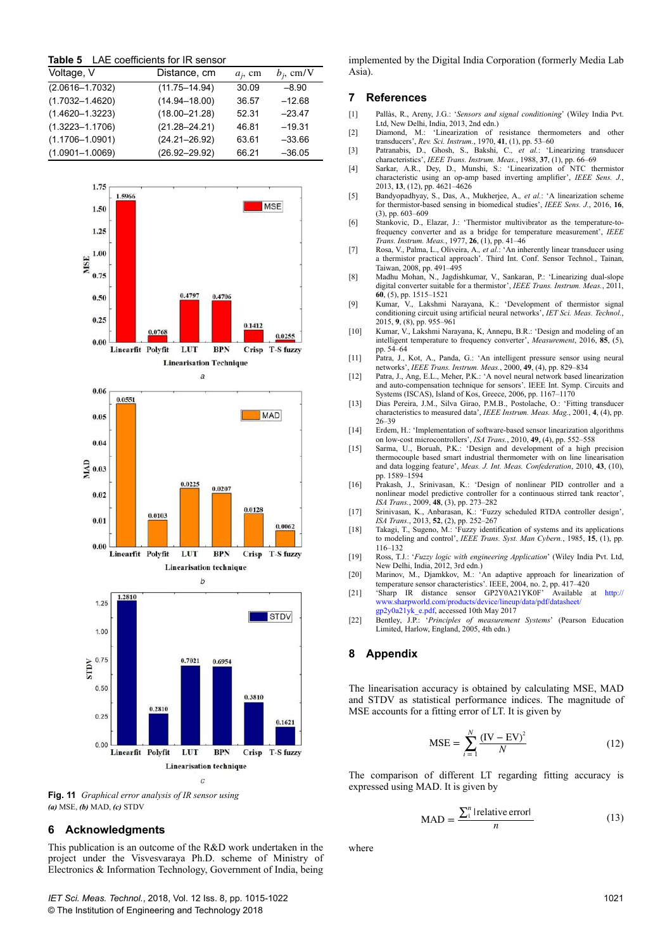|  |  | <b>Table 5</b> LAE coefficients for IR sensor |  |  |  |  |
|--|--|-----------------------------------------------|--|--|--|--|
|--|--|-----------------------------------------------|--|--|--|--|

| Voltage, V          | Distance, cm      | $a_i$ , cm | $b_i$ , cm/V |
|---------------------|-------------------|------------|--------------|
| $(2.0616 - 1.7032)$ | $(11.75 - 14.94)$ | 30.09      | $-8.90$      |
| $(1.7032 - 1.4620)$ | $(14.94 - 18.00)$ | 36.57      | $-12.68$     |
| $(1.4620 - 1.3223)$ | $(18.00 - 21.28)$ | 52.31      | $-23.47$     |
| $(1.3223 - 1.1706)$ | $(21.28 - 24.21)$ | 46.81      | $-19.31$     |
| $(1.1706 - 1.0901)$ | $(24.21 - 26.92)$ | 63.61      | $-33.66$     |
| $(1.0901 - 1.0069)$ | $(26.92 - 29.92)$ | 66.21      | $-36.05$     |



**Fig. 11** *Graphical error analysis of IR sensor using (a)* MSE, *(b)* MAD, *(c)* STDV

#### **6** Acknowledgments

This publication is an outcome of the R&D work undertaken in the project under the Visvesvaraya Ph.D. scheme of Ministry of Electronics & Information Technology, Government of India, being

*IET Sci. Meas. Technol.*, 2018, Vol. 12 Iss. 8, pp. 1015-1022 © The Institution of Engineering and Technology 2018

implemented by the Digital India Corporation (formerly Media Lab Asia).

## **7References**

- [1] Pallàs, R., Areny, J.G.: '*Sensors and signal conditioning*' (Wiley India Pvt. Ltd, New Delhi, India, 2013, 2nd edn.)
- [2] Diamond, M.: 'Linearization of resistance thermometers and other transducers', *Rev. Sci. Instrum.*, 1970, **41**, (1), pp. 53–60
- [3] Patranabis, D., Ghosh, S., Bakshi, C.*, et al.*: 'Linearizing transducer characteristics', *IEEE Trans. Instrum. Meas.*, 1988, **37**, (1), pp. 66–69
- [4] Sarkar, A.R., Dey, D., Munshi, S.: 'Linearization of NTC thermistor characteristic using an op-amp based inverting amplifier', *IEEE Sens. J.*, 2013, **13**, (12), pp. 4621–4626
- [5] Bandyopadhyay, S., Das, A., Mukherjee, A.*, et al.*: 'A linearization scheme for thermistor-based sensing in biomedical studies', *IEEE Sens. J.*, 2016, **16**, (3), pp. 603–609
- [6] Stankovic, D., Elazar, J.: 'Thermistor multivibrator as the temperature-tofrequency converter and as a bridge for temperature measurement', *IEEE Trans. Instrum. Meas.*, 1977, **26**, (1), pp. 41–46
- [7] Rosa, V., Palma, L., Oliveira, A.*, et al.*: 'An inherently linear transducer using a thermistor practical approach'. Third Int. Conf. Sensor Technol., Tainan, Taiwan, 2008, pp. 491–495
- [8] Madhu Mohan, N., Jagdishkumar, V., Sankaran, P.: 'Linearizing dual-slope digital converter suitable for a thermistor', *IEEE Trans. Instrum. Meas.*, 2011, **60**, (5), pp. 1515–1521
- [9] Kumar, V., Lakshmi Narayana, K.: 'Development of thermistor signal conditioning circuit using artificial neural networks', *IET Sci. Meas. Technol.*, 2015, **9**, (8), pp. 955–961
- [10] Kumar, V., Lakshmi Narayana, K, Annepu, B.R.: 'Design and modeling of an intelligent temperature to frequency converter', *Measurement*, 2016, **85**, (5), pp. 54–64
- [11] Patra, J., Kot, A., Panda, G.: 'An intelligent pressure sensor using neural networks', *IEEE Trans. Instrum. Meas.*, 2000, **49**, (4), pp. 829–834
- [12] Patra, J., Ang, E.L., Meher, P.K.: 'A novel neural network based linearization and auto-compensation technique for sensors'. IEEE Int. Symp. Circuits and Systems (ISCAS), Island of Kos, Greece, 2006, pp. 1167–1170
- [13] Dias Pereira, J.M., Silva Girao, P.M.B., Postolache, O.: 'Fitting transducer characteristics to measured data', *IEEE Instrum. Meas. Mag.*, 2001, **4**, (4), pp. 26–39
- [14] Erdem, H.: 'Implementation of software-based sensor linearization algorithms on low-cost microcontrollers', *ISA Trans.*, 2010, **49**, (4), pp. 552–558
- [15] Sarma, U., Boruah, P.K.: 'Design and development of a high precision thermocouple based smart industrial thermometer with on line linearisation and data logging feature', *Meas. J. Int. Meas. Confederation*, 2010, **43**, (10), pp. 1589–1594
- [16] Prakash, J., Srinivasan, K.: 'Design of nonlinear PID controller and a nonlinear model predictive controller for a continuous stirred tank reactor', *ISA Trans.*, 2009, **48**, (3), pp. 273–282
- [17] Srinivasan, K., Anbarasan, K.: 'Fuzzy scheduled RTDA controller design', *ISA Trans.*, 2013, **52**, (2), pp. 252–267
- [18] Takagi, T., Sugeno, M.: 'Fuzzy identification of systems and its applications to modeling and control', *IEEE Trans. Syst. Man Cybern.*, 1985, **15**, (1), pp. 116–132
- [19] Ross, T.J.: '*Fuzzy logic with engineering Application*' (Wiley India Pvt. Ltd, New Delhi, India, 2012, 3rd edn.)
- [20] Marinov, M., Djamkkov, M.: 'An adaptive approach for linearization of temperature sensor characteristics'. IEEE, 2004, no. 2, pp. 417–420 [21] 'Sharp IR distance sensor GP2Y0A21YK0F' Available at http://
- www.sharpworld.com/products/device/lineup/data/pdf/datasheet/
- gp2y0a21yk\_e.pdf, accessed 10th May 2017 [22] Bentley, J.P.: '*Principles of measurement Systems*' (Pearson Education Limited, Harlow, England, 2005, 4th edn.)

#### **8Appendix**

The linearisation accuracy is obtained by calculating MSE, MAD and STDV as statistical performance indices. The magnitude of MSE accounts for a fitting error of LT. It is given by

$$
MSE = \sum_{i=1}^{N} \frac{(IV - EV)^2}{N}
$$
 (12)

The comparison of different LT regarding fitting accuracy is expressed using MAD. It is given by

$$
MAD = \frac{\sum_{1}^{n} |relative error|}{n}
$$
 (13)

where

1021